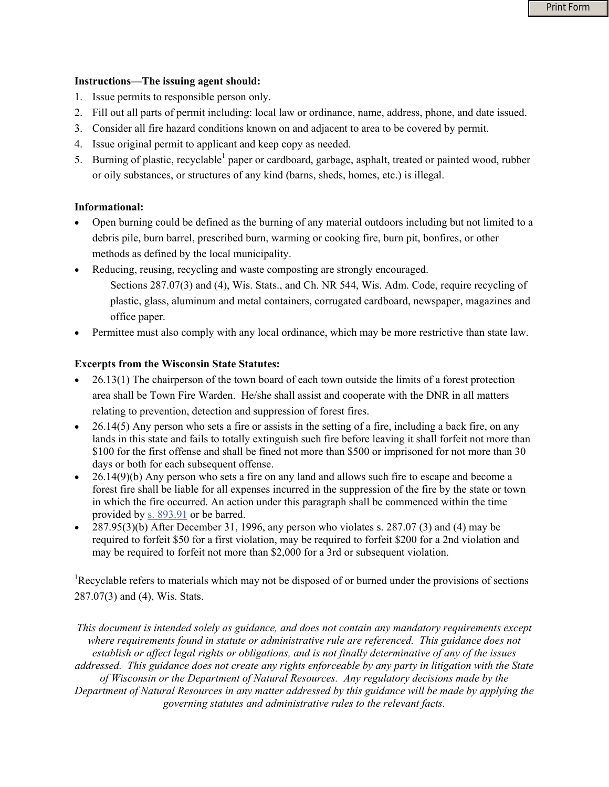Print Form

## **Instructions—The issuing agent should:**

- 1. Issue permits to responsible person only.
- 2. Fill out all parts of permit including: local law or ordinance, name, address, phone, and date issued.
- 3. Consider all fire hazard conditions known on and adjacent to area to be covered by permit.
- 4. Issue original permit to applicant and keep copy as needed.
- 5. Burning of plastic, recyclable<sup>1</sup> paper or cardboard, garbage, asphalt, treated or painted wood, rubber or oily substances, or structures of any kind (barns, sheds, homes, etc.) is illegal.

## **Informational:**

- Open burning could be defined as the burning of any material outdoors including but not limited to a debris pile, burn barrel, prescribed burn, warming or cooking fire, burn pit, bonfires, or other methods as defined by the local municipality.
- Reducing, reusing, recycling and waste composting are strongly encouraged.
	- Sections 287.07(3) and (4), Wis. Stats., and Ch. NR 544, Wis. Adm. Code, require recycling of plastic, glass, aluminum and metal containers, corrugated cardboard, newspaper, magazines and office paper.
- Permittee must also comply with any local ordinance, which may be more restrictive than state law.

## **Excerpts from the Wisconsin State Statutes:**

- 26.13(1) The chairperson of the town board of each town outside the limits of a forest protection area shall be Town Fire Warden. He/she shall assist and cooperate with the DNR in all matters relating to prevention, detection and suppression of forest fires.
- $\bullet$  26.14(5) Any person who sets a fire or assists in the setting of a fire, including a back fire, on any lands in this state and fails to totally extinguish such fire before leaving it shall forfeit not more than \$100 for the first offense and shall be fined not more than \$500 or imprisoned for not more than 30 days or both for each subsequent offense.
- 26.14(9)(b) Any person who sets a fire on any land and allows such fire to escape and become a forest fire shall be liable for all expenses incurred in the suppression of the fire by the state or town in which the fire occurred. An action under this paragraph shall be commenced within the time provided by [s. 893.91](http://nxt.legis.state.wi.us/nxt/gateway.dll?f=xhitlist$xhitlist_x=Advanced$xhitlist_vpc=first$xhitlist_xsl=querylink.xsl$xhitlist_sel=title;path;content-type;home-title$xhitlist_d=%7bstats%7d$xhitlist_q=%5bfield%20folio-destination-name:) or be barred.
- 287.95(3)(b) After December 31, 1996, any person who violates s. 287.07 (3) and (4) may be required to forfeit \$50 for a first violation, may be required to forfeit \$200 for a 2nd violation and may be required to forfeit not more than \$2,000 for a 3rd or subsequent violation.

<sup>1</sup>Recyclable refers to materials which may not be disposed of or burned under the provisions of sections 287.07(3) and (4), Wis. Stats.

*This document is intended solely as guidance, and does not contain any mandatory requirements except where requirements found in statute or administrative rule are referenced. This guidance does not establish or affect legal rights or obligations, and is not finally determinative of any of the issues addressed. This guidance does not create any rights enforceable by any party in litigation with the State of Wisconsin or the Department of Natural Resources. Any regulatory decisions made by the Department of Natural Resources in any matter addressed by this guidance will be made by applying the governing statutes and administrative rules to the relevant facts.*